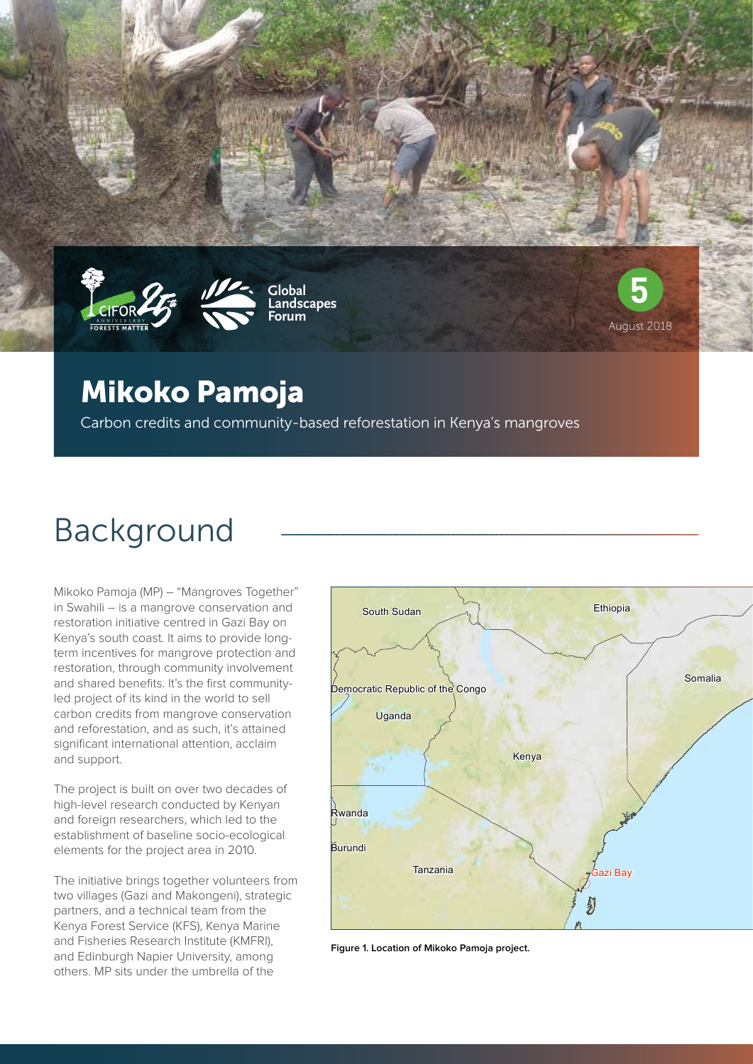



**Global Landscapes Forum**



## Mikoko Pamoja

Carbon credits and community-based reforestation in Kenya's mangroves

# Background

Mikoko Pamoja (MP) – "Mangroves Together" in Swahili – is a mangrove conservation and restoration initiative centred in Gazi Bay on Kenya's south coast. It aims to provide longterm incentives for mangrove protection and restoration, through community involvement and shared benefits. It's the first communityled project of its kind in the world to sell carbon credits from mangrove conservation and reforestation, and as such, it's attained significant international attention, acclaim and support.

The project is built on over two decades of high-level research conducted by Kenyan and foreign researchers, which led to the establishment of baseline socio-ecological elements for the project area in 2010.

The initiative brings together volunteers from two villages (Gazi and Makongeni), strategic partners, and a technical team from the Kenya Forest Service (KFS), Kenya Marine and Fisheries Research Institute (KMFRI), and Edinburgh Napier University, among others. MP sits under the umbrella of the



**Figure 1. Location of Mikoko Pamoja project.**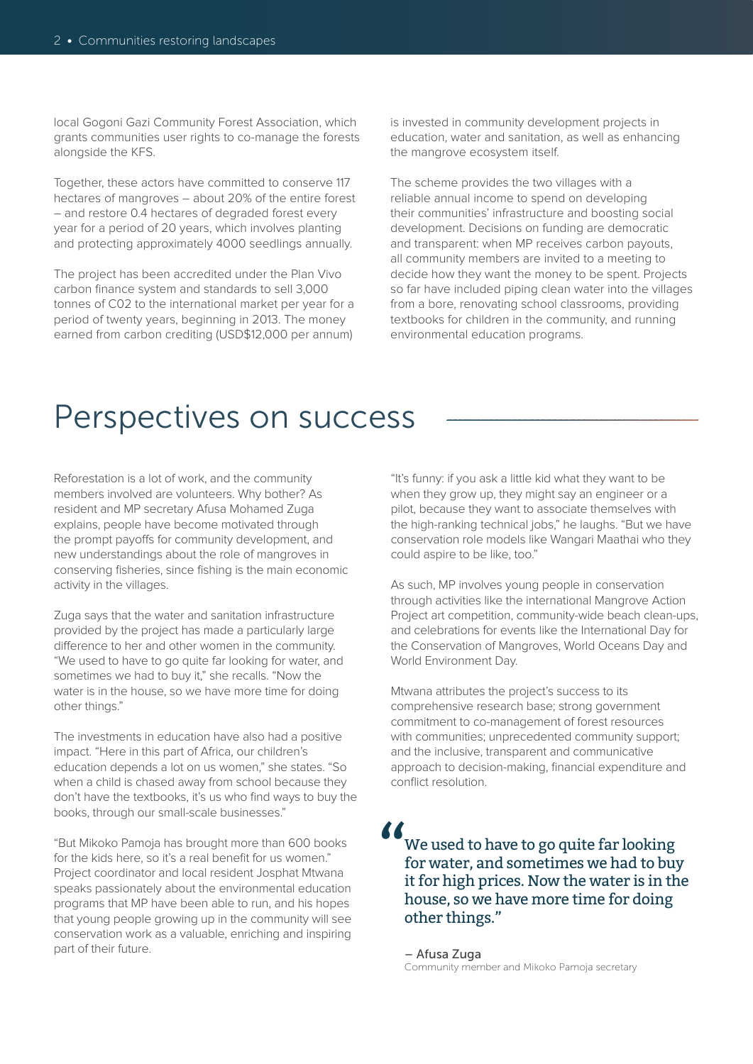local Gogoni Gazi Community Forest Association, which grants communities user rights to co-manage the forests alongside the KFS.

Together, these actors have committed to conserve 117 hectares of mangroves – about 20% of the entire forest – and restore 0.4 hectares of degraded forest every year for a period of 20 years, which involves planting and protecting approximately 4000 seedlings annually.

The project has been accredited under the Plan Vivo carbon finance system and standards to sell 3,000 tonnes of C02 to the international market per year for a period of twenty years, beginning in 2013. The money earned from carbon crediting (USD\$12,000 per annum)

is invested in community development projects in education, water and sanitation, as well as enhancing the mangrove ecosystem itself.

The scheme provides the two villages with a reliable annual income to spend on developing their communities' infrastructure and boosting social development. Decisions on funding are democratic and transparent: when MP receives carbon payouts, all community members are invited to a meeting to decide how they want the money to be spent. Projects so far have included piping clean water into the villages from a bore, renovating school classrooms, providing textbooks for children in the community, and running environmental education programs.

## Perspectives on success

Reforestation is a lot of work, and the community members involved are volunteers. Why bother? As resident and MP secretary Afusa Mohamed Zuga explains, people have become motivated through the prompt payoffs for community development, and new understandings about the role of mangroves in conserving fisheries, since fishing is the main economic activity in the villages.

Zuga says that the water and sanitation infrastructure provided by the project has made a particularly large difference to her and other women in the community. "We used to have to go quite far looking for water, and sometimes we had to buy it," she recalls. "Now the water is in the house, so we have more time for doing other things."

The investments in education have also had a positive impact. "Here in this part of Africa, our children's education depends a lot on us women," she states. "So when a child is chased away from school because they don't have the textbooks, it's us who find ways to buy the books, through our small-scale businesses."

"But Mikoko Pamoja has brought more than 600 books for the kids here, so it's a real benefit for us women." Project coordinator and local resident Josphat Mtwana speaks passionately about the environmental education programs that MP have been able to run, and his hopes that young people growing up in the community will see conservation work as a valuable, enriching and inspiring part of their future.

"It's funny: if you ask a little kid what they want to be when they grow up, they might say an engineer or a pilot, because they want to associate themselves with the high-ranking technical jobs," he laughs. "But we have conservation role models like Wangari Maathai who they could aspire to be like, too."

As such, MP involves young people in conservation through activities like the international Mangrove Action Project art competition, community-wide beach clean-ups, and celebrations for events like the International Day for the Conservation of Mangroves, World Oceans Day and World Environment Day.

Mtwana attributes the project's success to its comprehensive research base; strong government commitment to co-management of forest resources with communities; unprecedented community support; and the inclusive, transparent and communicative approach to decision-making, financial expenditure and conflict resolution.

### We used to have to go quite far looking for water, and sometimes we had to buy it for high prices. Now the water is in the house, so we have more time for doing other things."  $\frac{\sum_{i=1}^{n} x_i}{n}$

– Afusa Zuga Community member and Mikoko Pamoja secretary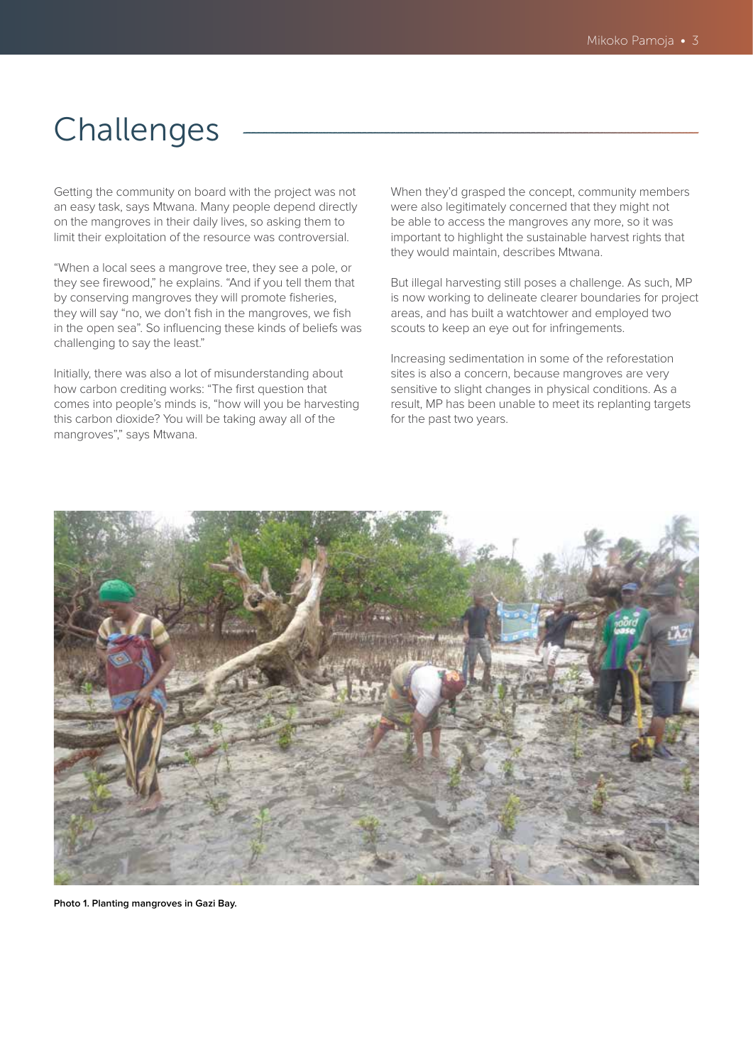## Challenges

Getting the community on board with the project was not an easy task, says Mtwana. Many people depend directly on the mangroves in their daily lives, so asking them to limit their exploitation of the resource was controversial.

"When a local sees a mangrove tree, they see a pole, or they see firewood," he explains. "And if you tell them that by conserving mangroves they will promote fisheries, they will say "no, we don't fish in the mangroves, we fish in the open sea". So influencing these kinds of beliefs was challenging to say the least."

Initially, there was also a lot of misunderstanding about how carbon crediting works: "The first question that comes into people's minds is, "how will you be harvesting this carbon dioxide? You will be taking away all of the mangroves"," says Mtwana.

When they'd grasped the concept, community members were also legitimately concerned that they might not be able to access the mangroves any more, so it was important to highlight the sustainable harvest rights that they would maintain, describes Mtwana.

But illegal harvesting still poses a challenge. As such, MP is now working to delineate clearer boundaries for project areas, and has built a watchtower and employed two scouts to keep an eye out for infringements.

Increasing sedimentation in some of the reforestation sites is also a concern, because mangroves are very sensitive to slight changes in physical conditions. As a result, MP has been unable to meet its replanting targets for the past two years.



**Photo 1. Planting mangroves in Gazi Bay.**